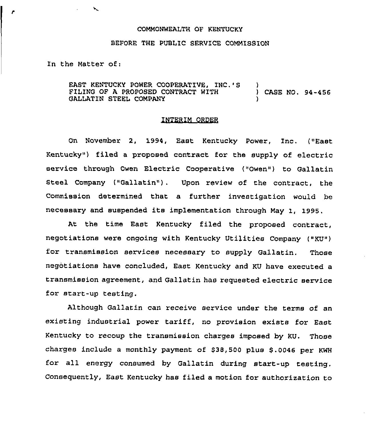## COMMONWEALTH OF KENTUCKY

## BEFORE THE PUBLIC SERVICE COMMISSION

In the Matter of:

 $\overline{\phantom{a}}$ 

EAST KENTUCKY POWER COOPERATIVE, INC.'S FILING OF A PROPOSED CONTRACT WITH GALLATIN STEEL COMPANY ) ) CASE NO. 94-456 )

## INTERIM ORDER

On November 2, 1994, East Kentucky Power, Inc. ("East Kentucky") filed a proposed contract for the supply of electric service through Owen Electric Cooperative ("Owen") to Gallatin steel Company ("Gallatin"), Upon review of the contract, the Commission determined that a further investigation would be necessary and suspended its implementation through May 1, 1995.

At the time East Kentucky filed the proposed contract, negotiations were ongoing with Kentucky Utilities Company ("KU") for transmission services necessary to supply Gallatin. Those negotiations have concluded, East Kentucky and KU have executed a transmission agreement, and Gallatin has requested electric service for start-up testing.

Although Gallatin can receive service under the terms of an existing industrial power tariff, no provision exists for East Kentucky to recoup the transmission charges imposed by KU, Those charges include a monthly payment of \$38,500 plus \$.0046 per KWH for all energy consumed by Gallatin during start-up testing. Consequently, East Kentucky has filed a motion for authorization to